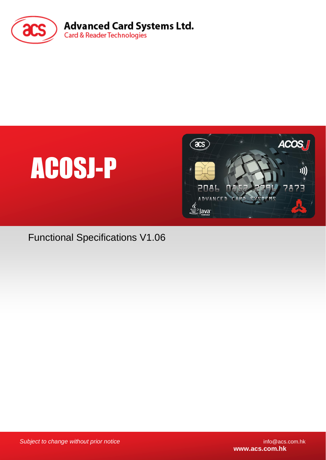





Functional Specifications V1.06

**Subject to change without prior notice** info@acs.com.hk

**www.acs.com.hk**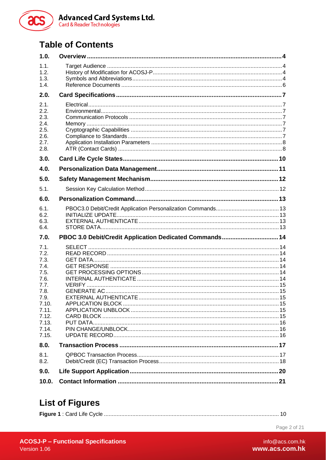

# **Table of Contents**

| 1.0.                                                                                                                       |                                                                                   |  |
|----------------------------------------------------------------------------------------------------------------------------|-----------------------------------------------------------------------------------|--|
| 1.1.<br>1.2.<br>1.3.<br>1.4.                                                                                               |                                                                                   |  |
| 2.0.                                                                                                                       |                                                                                   |  |
| 2.1.<br>2.2.<br>2.3.<br>2.4.<br>2.5.<br>2.6.<br>2.7.<br>2.8.                                                               |                                                                                   |  |
| 3.0.                                                                                                                       |                                                                                   |  |
| 4.0.                                                                                                                       |                                                                                   |  |
| 5.0.                                                                                                                       |                                                                                   |  |
| 5.1.                                                                                                                       |                                                                                   |  |
| 6.0.                                                                                                                       |                                                                                   |  |
| 6.1.<br>6.2.<br>6.3.<br>6.4.                                                                                               | 13.illum.com/induct/now-margin-text-file-text-file-text-file-text-file-text-file- |  |
| 7.0.                                                                                                                       | PBOC 3.0 Debit/Credit Application Dedicated Commands 14                           |  |
| 7.1.<br>7.2.<br>7.3.<br>7.4.<br>7.5.<br>7.6.<br>7.7.<br>7.8.<br>7.9.<br>7.10.<br>7.11.<br>7.12.<br>7.13.<br>7.14.<br>7.15. |                                                                                   |  |
| 8.0.                                                                                                                       |                                                                                   |  |
| 8.1.<br>8.2.                                                                                                               |                                                                                   |  |
| 9.0.                                                                                                                       |                                                                                   |  |
| 10.0.                                                                                                                      |                                                                                   |  |

# **List of Figures**

|--|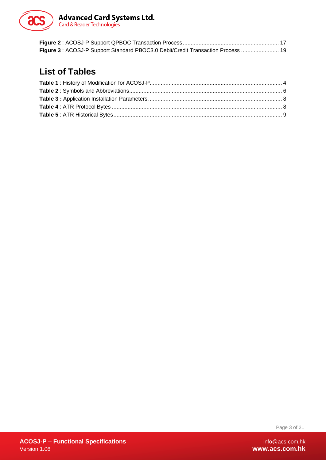

| Figure 3: ACOSJ-P Support Standard PBOC3.0 Debit/Credit Transaction Process  19 |  |
|---------------------------------------------------------------------------------|--|

# **List of Tables**

Page 3 of 21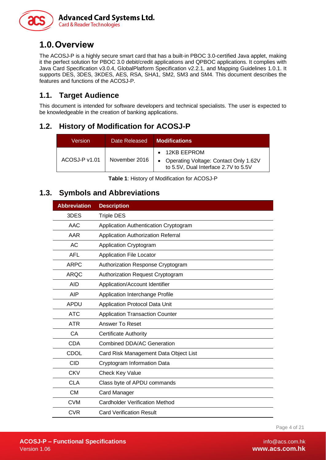

# <span id="page-3-0"></span>**1.0.Overview**

The ACOSJ-P is a highly secure smart card that has a built-in PBOC 3.0-certified Java applet, making it the perfect solution for PBOC 3.0 debit/credit applications and QPBOC applications. It complies with Java Card Specification v3.0.4, GlobalPlatform Specification v2.2.1, and Mapping Guidelines 1.0.1. It supports DES, 3DES, 3KDES, AES, RSA, SHA1, SM2, SM3 and SM4. This document describes the features and functions of the ACOSJ-P.

#### <span id="page-3-1"></span>**1.1. Target Audience**

This document is intended for software developers and technical specialists. The user is expected to be knowledgeable in the creation of banking applications.

#### <span id="page-3-2"></span>**1.2. History of Modification for ACOSJ-P**

| Version       | Date Released | <b>Modifications</b>                                                                                   |  |  |
|---------------|---------------|--------------------------------------------------------------------------------------------------------|--|--|
| ACOSJ-P v1.01 | November 2016 | $\bullet$ 12KB EEPROM<br>Operating Voltage: Contact Only 1.62V<br>to 5.5V, Dual Interface 2.7V to 5.5V |  |  |

**Table 1**: History of Modification for ACOSJ-P

#### <span id="page-3-4"></span><span id="page-3-3"></span>**1.3. Symbols and Abbreviations**

| <b>Abbreviation</b> | <b>Description</b>                     |
|---------------------|----------------------------------------|
| 3DES                | <b>Triple DES</b>                      |
| AAC                 | Application Authentication Cryptogram  |
| <b>AAR</b>          | Application Authorization Referral     |
| AC                  | Application Cryptogram                 |
| <b>AFL</b>          | <b>Application File Locator</b>        |
| <b>ARPC</b>         | Authorization Response Cryptogram      |
| <b>ARQC</b>         | Authorization Request Cryptogram       |
| <b>AID</b>          | Application/Account Identifier         |
| AIP                 | Application Interchange Profile        |
| <b>APDU</b>         | Application Protocol Data Unit         |
| <b>ATC</b>          | <b>Application Transaction Counter</b> |
| <b>ATR</b>          | Answer To Reset                        |
| CA                  | <b>Certificate Authority</b>           |
| <b>CDA</b>          | Combined DDA/AC Generation             |
| CDOL                | Card Risk Management Data Object List  |
| <b>CID</b>          | Cryptogram Information Data            |
| <b>CKV</b>          | Check Key Value                        |
| <b>CLA</b>          | Class byte of APDU commands            |
| <b>CM</b>           | <b>Card Manager</b>                    |
| <b>CVM</b>          | <b>Cardholder Verification Method</b>  |
| <b>CVR</b>          | <b>Card Verification Result</b>        |

Page 4 of 21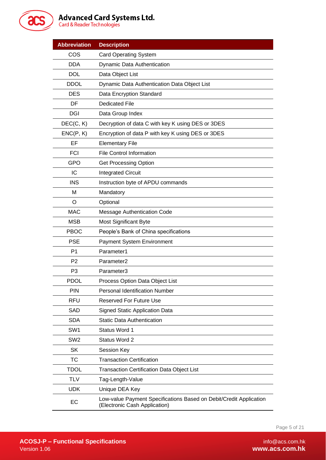

# **Advanced Card Systems Ltd.**<br>Card & Reader Technologies

| <b>Abbreviation</b> | <b>Description</b>                                                                                  |
|---------------------|-----------------------------------------------------------------------------------------------------|
| COS                 | <b>Card Operating System</b>                                                                        |
| <b>DDA</b>          | Dynamic Data Authentication                                                                         |
| <b>DOL</b>          | Data Object List                                                                                    |
| <b>DDOL</b>         | Dynamic Data Authentication Data Object List                                                        |
| <b>DES</b>          | Data Encryption Standard                                                                            |
| DF                  | <b>Dedicated File</b>                                                                               |
| <b>DGI</b>          | Data Group Index                                                                                    |
| DEC(C, K)           | Decryption of data C with key K using DES or 3DES                                                   |
| ENC(P, K)           | Encryption of data P with key K using DES or 3DES                                                   |
| EF                  | <b>Elementary File</b>                                                                              |
| <b>FCI</b>          | <b>File Control Information</b>                                                                     |
| <b>GPO</b>          | <b>Get Processing Option</b>                                                                        |
| IC                  | <b>Integrated Circuit</b>                                                                           |
| <b>INS</b>          | Instruction byte of APDU commands                                                                   |
| M                   | Mandatory                                                                                           |
| O                   | Optional                                                                                            |
| <b>MAC</b>          | Message Authentication Code                                                                         |
| <b>MSB</b>          | <b>Most Significant Byte</b>                                                                        |
| <b>PBOC</b>         | People's Bank of China specifications                                                               |
| <b>PSE</b>          | Payment System Environment                                                                          |
| P <sub>1</sub>      | Parameter1                                                                                          |
| P <sub>2</sub>      | Parameter <sub>2</sub>                                                                              |
| P <sub>3</sub>      | Parameter3                                                                                          |
| <b>PDOL</b>         | Process Option Data Object List                                                                     |
| PIN                 | Personal Identification Number                                                                      |
| <b>RFU</b>          | <b>Reserved For Future Use</b>                                                                      |
| <b>SAD</b>          | <b>Signed Static Application Data</b>                                                               |
| <b>SDA</b>          | <b>Static Data Authentication</b>                                                                   |
| SW <sub>1</sub>     | Status Word 1                                                                                       |
| SW <sub>2</sub>     | Status Word 2                                                                                       |
| <b>SK</b>           | Session Key                                                                                         |
| <b>TC</b>           | <b>Transaction Certification</b>                                                                    |
| <b>TDOL</b>         | <b>Transaction Certification Data Object List</b>                                                   |
| <b>TLV</b>          | Tag-Length-Value                                                                                    |
| <b>UDK</b>          | Unique DEA Key                                                                                      |
| EC                  | Low-value Payment Specifications Based on Debit/Credit Application<br>(Electronic Cash Application) |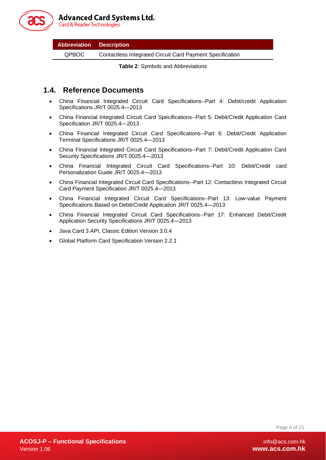

**Card & Reader Technologies** 

<span id="page-5-1"></span>

| <b>Abbreviation</b> | Description |  |
|---------------------|-------------|--|
|---------------------|-------------|--|

QPBOC Contactless Integrated Circuit Card Payment Specification

**Table 2**: Symbols and Abbreviations

#### <span id="page-5-0"></span>**1.4. Reference Documents**

- China Financial Integrated Circuit Card Specifications--Part 4: Debit/credit Application Specifications JR/T 0025.4—2013
- China Financial Integrated Circuit Card Specifications--Part 5: Debit/Credit Application Card Specification JR/T 0025.4—2013
- China Financial Integrated Circuit Card Specifications--Part 6: Debit/Credit Application Terminal Specifications JR/T 0025.4—2013
- China Financial Integrated Circuit Card Specifications--Part 7: Debit/Credit Application Card Security Specifications JR/T 0025.4—2013
- China Financial Integrated Circuit Card Specifications--Part 10: Debit/Credit card Personalization Guide JR/T 0025.4—2013
- China Financial Integrated Circuit Card Specifications--Part 12: Contactless Integrated Circuit Card Payment Specification JR/T 0025.4—2013
- China Financial Integrated Circuit Card Specifications--Part 13: Low-value Payment Specifications Based on Debit/Credit Application JR/T 0025.4—2013
- China Financial Integrated Circuit Card Specifications--Part 17: Enhanced Debit/Credit Application Security Specifications JR/T 0025.4—2013
- Java Card 3 API, Classic Edition Version 3.0.4
- Global Platform Card Specification Version 2.2.1

Page 6 of 21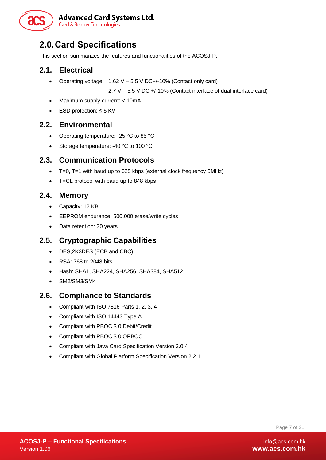

# <span id="page-6-0"></span>**2.0.Card Specifications**

This section summarizes the features and functionalities of the ACOSJ-P.

#### <span id="page-6-1"></span>**2.1. Electrical**

• Operating voltage: 1.62 V – 5.5 V DC+/-10% (Contact only card)

2.7 V – 5.5 V DC +/-10% (Contact interface of dual interface card)

- Maximum supply current: < 10mA
- ESD protection: ≤ 5 KV

#### <span id="page-6-2"></span>**2.2. Environmental**

- Operating temperature: -25 °C to 85 °C
- Storage temperature: -40 °C to 100 °C

#### <span id="page-6-3"></span>**2.3. Communication Protocols**

- T=0, T=1 with baud up to 625 kbps (external clock frequency 5MHz)
- T=CL protocol with baud up to 848 kbps

#### <span id="page-6-4"></span>**2.4. Memory**

- Capacity: 12 KB
- EEPROM endurance: 500,000 erase/write cycles
- Data retention: 30 years

#### <span id="page-6-5"></span>**2.5. Cryptographic Capabilities**

- DES,2K3DES (ECB and CBC)
- RSA: 768 to 2048 bits
- Hash: SHA1, SHA224, SHA256, SHA384, SHA512
- SM2/SM3/SM4

#### <span id="page-6-6"></span>**2.6. Compliance to Standards**

- Compliant with ISO 7816 Parts 1, 2, 3, 4
- Compliant with ISO 14443 Type A
- Compliant with PBOC 3.0 Debit/Credit
- Compliant with PBOC 3.0 QPBOC
- Compliant with Java Card Specification Version 3.0.4
- Compliant with Global Platform Specification Version 2.2.1

Page 7 of 21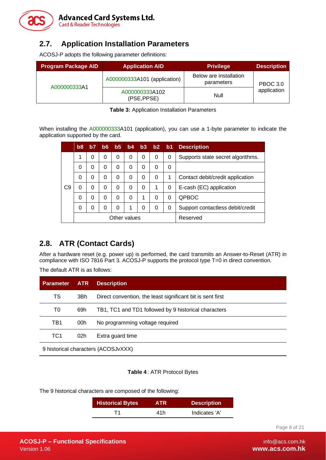

#### <span id="page-7-0"></span>**2.7. Application Installation Parameters**

ACOSJ-P adopts the following parameter definitions:

| <b>Program Package AID</b> | <b>Application AID</b>        | <b>Privilege</b>                     | <b>Description</b> |  |
|----------------------------|-------------------------------|--------------------------------------|--------------------|--|
|                            | A000000333A101 (application)  | Below are installation<br>parameters | <b>PBOC 3.0</b>    |  |
| A000000333A1               | A000000333A102<br>(PSE, PPSE) | Null                                 | application        |  |

**Table 3:** Application Installation Parameters

<span id="page-7-2"></span>When installing the A000000333A101 (application), you can use a 1-byte parameter to indicate the application supported by the card.

|    | b <sub>8</sub> | b7 | b6 | b <sub>5</sub> | b4       | b3 | b2 | b <sub>1</sub> | <b>Description</b>                |
|----|----------------|----|----|----------------|----------|----|----|----------------|-----------------------------------|
|    | 1              | 0  | 0  | 0              | 0        | 0  | 0  | 0              | Supports state secret algorithms. |
|    | 0              | 0  | 0  | 0              | $\Omega$ | 0  | 0  | 0              |                                   |
|    | 0              | 0  | 0  | 0              | 0        | 0  | 0  | 1              | Contact debit/credit application  |
| C9 | 0              | 0  | 0  | 0              | 0        | 0  | 1  | 0              | E-cash (EC) application           |
|    | 0              | 0  | 0  | 0              | $\Omega$ | 1  | 0  | 0              | <b>QPBOC</b>                      |
|    | 0              | 0  | 0  | 0              |          | 0  | 0  | 0              | Support contactless debit/credit  |
|    | Other values   |    |    | Reserved       |          |    |    |                |                                   |

#### <span id="page-7-1"></span>**2.8. ATR (Contact Cards)**

After a hardware reset (e.g. power up) is performed, the card transmits an Answer-to-Reset (ATR) in compliance with ISO 7816 Part 3. ACOSJ-P supports the protocol type T=0 in direct convention.

The default ATR is as follows:

| <b>Parameter</b>                    | <b>ATR</b> | <b>Description</b>                                         |  |  |
|-------------------------------------|------------|------------------------------------------------------------|--|--|
| TS                                  | 3Bh        | Direct convention, the least significant bit is sent first |  |  |
| T0                                  | 69h        | TB1, TC1 and TD1 followed by 9 historical characters       |  |  |
| TB1                                 | 00h        | No programming voltage required                            |  |  |
| TC1                                 | 02h        | Extra guard time                                           |  |  |
| 9 historical characters (ACOSJvXXX) |            |                                                            |  |  |

#### <span id="page-7-3"></span>**Table 4**: ATR Protocol Bytes

The 9 historical characters are composed of the following:

| <b>Historical Bytes</b> | <b>ATR</b> | <b>Description</b> |
|-------------------------|------------|--------------------|
|                         | 41h        | Indicates 'A'      |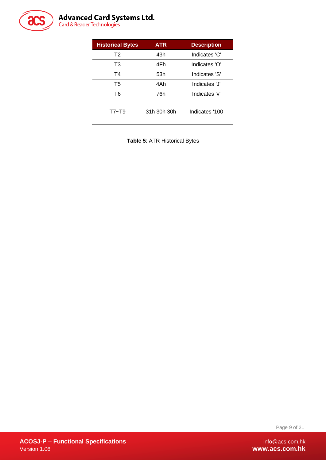

# **Advanced Card Systems Ltd.**<br>Card & Reader Technologies

| <b>Historical Bytes</b> | <b>ATR</b>  | <b>Description</b> |
|-------------------------|-------------|--------------------|
| T <sub>2</sub>          | 43h         | Indicates 'C'      |
| T3                      | 4Fh         | Indicates 'O'      |
| <b>T4</b>               | 53h         | Indicates 'S'      |
| T5                      | 4Ah         | Indicates 'J'      |
| Τ6                      | 76h         | Indicates 'v'      |
| $T7 - T9$               | 31h 30h 30h | Indicates '100     |

<span id="page-8-0"></span>**Table 5**: ATR Historical Bytes

Page 9 of 21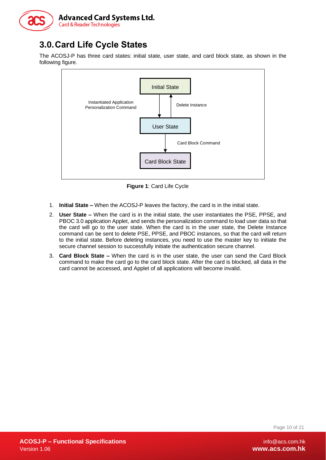

# <span id="page-9-0"></span>**3.0.Card Life Cycle States**

The ACOSJ-P has three card states: initial state, user state, and card block state, as shown in the following figure.



**Figure 1**: Card Life Cycle

- <span id="page-9-1"></span>1. **Initial State –** When the ACOSJ-P leaves the factory, the card is in the initial state.
- 2. **User State –** When the card is in the initial state, the user instantiates the PSE, PPSE, and PBOC 3.0 application Applet, and sends the personalization command to load user data so that the card will go to the user state. When the card is in the user state, the Delete Instance command can be sent to delete PSE, PPSE, and PBOC instances, so that the card will return to the initial state. Before deleting instances, you need to use the master key to initiate the secure channel session to successfully initiate the authentication secure channel.
- 3. **Card Block State –** When the card is in the user state, the user can send the Card Block command to make the card go to the card block state. After the card is blocked, all data in the card cannot be accessed, and Applet of all applications will become invalid.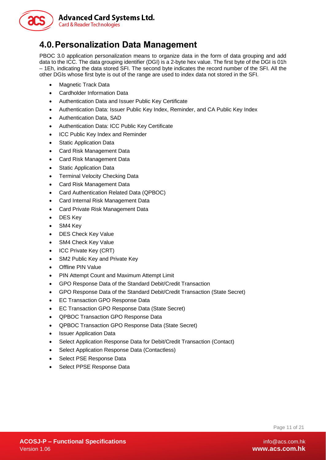

# <span id="page-10-0"></span>**4.0.Personalization Data Management**

PBOC 3.0 application personalization means to organize data in the form of data grouping and add data to the ICC. The data grouping identifier (DGI) is a 2-byte hex value. The first byte of the DGI is 01h – 1Eh, indicating the data stored SFI. The second byte indicates the record number of the SFI. All the other DGIs whose first byte is out of the range are used to index data not stored in the SFI.

- Magnetic Track Data
- Cardholder Information Data
- Authentication Data and Issuer Public Key Certificate
- Authentication Data: Issuer Public Key Index, Reminder, and CA Public Key Index
- Authentication Data, SAD
- Authentication Data: ICC Public Key Certificate
- ICC Public Key Index and Reminder
- Static Application Data
- Card Risk Management Data
- Card Risk Management Data
- Static Application Data
- Terminal Velocity Checking Data
- Card Risk Management Data
- Card Authentication Related Data (QPBOC)
- Card Internal Risk Management Data
- Card Private Risk Management Data
- DES Key
- SM4 Key
- DES Check Key Value
- SM4 Check Key Value
- ICC Private Key (CRT)
- SM2 Public Key and Private Key
- Offline PIN Value
- PIN Attempt Count and Maximum Attempt Limit
- GPO Response Data of the Standard Debit/Credit Transaction
- GPO Response Data of the Standard Debit/Credit Transaction (State Secret)
- EC Transaction GPO Response Data
- EC Transaction GPO Response Data (State Secret)
- QPBOC Transaction GPO Response Data
- QPBOC Transaction GPO Response Data (State Secret)
- Issuer Application Data
- Select Application Response Data for Debit/Credit Transaction (Contact)
- Select Application Response Data (Contactless)
- Select PSE Response Data
- Select PPSE Response Data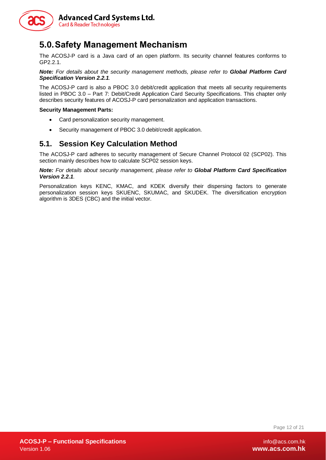

# <span id="page-11-0"></span>**5.0.Safety Management Mechanism**

The ACOSJ-P card is a Java card of an open platform. Its security channel features conforms to GP2.2.1.

**Note:** For details about the security management methods, please refer to **Global Platform Card** *Specification Version 2.2.1.*

The ACOSJ-P card is also a PBOC 3.0 debit/credit application that meets all security requirements listed in PBOC 3.0 – Part 7: Debit/Credit Application Card Security Specifications. This chapter only describes security features of ACOSJ-P card personalization and application transactions.

#### **Security Management Parts:**

- Card personalization security management.
- Security management of PBOC 3.0 debit/credit application.

#### <span id="page-11-1"></span>**5.1. Session Key Calculation Method**

The ACOSJ-P card adheres to security management of Secure Channel Protocol 02 (SCP02). This section mainly describes how to calculate SCP02 session keys.

*Note: For details about security management, please refer to Global Platform Card Specification Version 2.2.1.*

Personalization keys KENC, KMAC, and KDEK diversify their dispersing factors to generate personalization session keys SKUENC, SKUMAC, and SKUDEK. The diversification encryption algorithm is 3DES (CBC) and the initial vector.

Page 12 of 21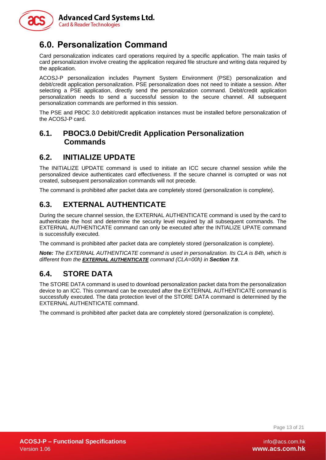

**Advanced Card Systems Ltd. Card & Reader Technologies** 

# <span id="page-12-0"></span>**6.0. Personalization Command**

Card personalization indicates card operations required by a specific application. The main tasks of card personalization involve creating the application required file structure and writing data required by the application.

ACOSJ-P personalization includes Payment System Environment (PSE) personalization and debit/credit application personalization. PSE personalization does not need to initiate a session. After selecting a PSE application, directly send the personalization command. Debit/credit application personalization needs to send a successful session to the secure channel. All subsequent personalization commands are performed in this session.

The PSE and PBOC 3.0 debit/credit application instances must be installed before personalization of the ACOSJ-P card.

#### <span id="page-12-1"></span>**6.1. PBOC3.0 Debit/Credit Application Personalization Commands**

#### <span id="page-12-2"></span>**6.2. INITIALIZE UPDATE**

The INITIALIZE UPDATE command is used to initiate an ICC secure channel session while the personalized device authenticates card effectiveness. If the secure channel is corrupted or was not created, subsequent personalization commands will not precede.

The command is prohibited after packet data are completely stored (personalization is complete).

#### <span id="page-12-3"></span>**6.3. EXTERNAL AUTHENTICATE**

During the secure channel session, the EXTERNAL AUTHENTICATE command is used by the card to authenticate the host and determine the security level required by all subsequent commands. The EXTERNAL AUTHENTICATE command can only be executed after the INTIALIZE UPATE command is successfully executed.

The command is prohibited after packet data are completely stored (personalization is complete).

*Note: The EXTERNAL AUTHENTICATE command is used in personalization. Its CLA is 84h, which is different from the [EXTERNAL AUTHENTICATE](#page-14-2) command (CLA=00h) in Section [7.9](#page-14-2).*

#### <span id="page-12-4"></span>**6.4. STORE DATA**

The STORE DATA command is used to download personalization packet data from the personalization device to an ICC. This command can be executed after the EXTERNAL AUTHENTICATE command is successfully executed. The data protection level of the STORE DATA command is determined by the EXTERNAL AUTHENTICATE command.

The command is prohibited after packet data are completely stored (personalization is complete).

Page 13 of 21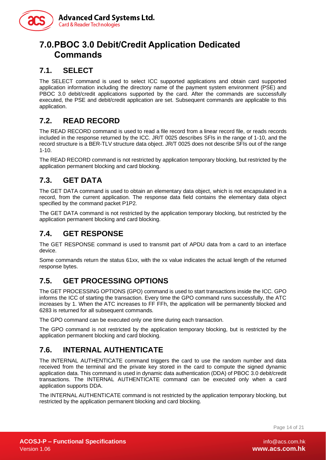

# <span id="page-13-0"></span>**7.0.PBOC 3.0 Debit/Credit Application Dedicated Commands**

#### <span id="page-13-1"></span>**7.1. SELECT**

The SELECT command is used to select ICC supported applications and obtain card supported application information including the directory name of the payment system environment (PSE) and PBOC 3.0 debit/credit applications supported by the card. After the commands are successfully executed, the PSE and debit/credit application are set. Subsequent commands are applicable to this application.

#### <span id="page-13-2"></span>**7.2. READ RECORD**

The READ RECORD command is used to read a file record from a linear record file, or reads records included in the response returned by the ICC. JR/T 0025 describes SFIs in the range of 1-10, and the record structure is a BER-TLV structure data object. JR/T 0025 does not describe SFIs out of the range 1-10.

The READ RECORD command is not restricted by application temporary blocking, but restricted by the application permanent blocking and card blocking.

#### <span id="page-13-3"></span>**7.3. GET DATA**

The GET DATA command is used to obtain an elementary data object, which is not encapsulated in a record, from the current application. The response data field contains the elementary data object specified by the command packet P1P2.

The GET DATA command is not restricted by the application temporary blocking, but restricted by the application permanent blocking and card blocking.

#### <span id="page-13-4"></span>**7.4. GET RESPONSE**

The GET RESPONSE command is used to transmit part of APDU data from a card to an interface device.

Some commands return the status 61xx, with the xx value indicates the actual length of the returned response bytes.

#### <span id="page-13-5"></span>**7.5. GET PROCESSING OPTIONS**

The GET PROCESSING OPTIONS (GPO) command is used to start transactions inside the ICC. GPO informs the ICC of starting the transaction. Every time the GPO command runs successfully, the ATC increases by 1. When the ATC increases to FF FFh, the application will be permanently blocked and 6283 is returned for all subsequent commands.

The GPO command can be executed only one time during each transaction.

The GPO command is not restricted by the application temporary blocking, but is restricted by the application permanent blocking and card blocking.

#### <span id="page-13-6"></span>**7.6. INTERNAL AUTHENTICATE**

The INTERNAL AUTHENTICATE command triggers the card to use the random number and data received from the terminal and the private key stored in the card to compute the signed dynamic application data. This command is used in dynamic data authentication (DDA) of PBOC 3.0 debit/credit transactions. The INTERNAL AUTHENTICATE command can be executed only when a card application supports DDA.

The INTERNAL AUTHENTICATE command is not restricted by the application temporary blocking, but restricted by the application permanent blocking and card blocking.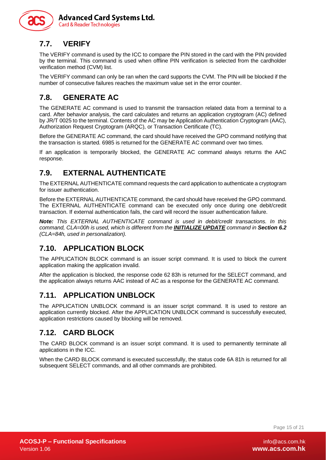

#### <span id="page-14-0"></span>**7.7. VERIFY**

The VERIFY command is used by the ICC to compare the PIN stored in the card with the PIN provided by the terminal. This command is used when offline PIN verification is selected from the cardholder verification method (CVM) list.

The VERIFY command can only be ran when the card supports the CVM. The PIN will be blocked if the number of consecutive failures reaches the maximum value set in the error counter.

#### <span id="page-14-1"></span>**7.8. GENERATE AC**

The GENERATE AC command is used to transmit the transaction related data from a terminal to a card. After behavior analysis, the card calculates and returns an application cryptogram (AC) defined by JR/T 0025 to the terminal. Contents of the AC may be Application Authentication Cryptogram (AAC), Authorization Request Cryptogram (ARQC), or Transaction Certificate (TC).

Before the GENERATE AC command, the card should have received the GPO command notifying that the transaction is started. 6985 is returned for the GENERATE AC command over two times.

If an application is temporarily blocked, the GENERATE AC command always returns the AAC response.

#### <span id="page-14-2"></span>**7.9. EXTERNAL AUTHENTICATE**

The EXTERNAL AUTHENTICATE command requests the card application to authenticate a cryptogram for issuer authentication.

Before the EXTERNAL AUTHENTICATE command, the card should have received the GPO command. The EXTERNAL AUTHENTICATE command can be executed only once during one debit/credit transaction. If external authentication fails, the card will record the issuer authentication failure.

*Note: This EXTERNAL AUTHENTICATE command is used in debit/credit transactions. In this command, CLA=00h is used, which is different from the [INITIALIZE UPDATE](#page-12-2) command in Sectio[n 6.2](#page-12-2) (CLA=84h, used in personalization).*

#### <span id="page-14-3"></span>**7.10. APPLICATION BLOCK**

The APPLICATION BLOCK command is an issuer script command. It is used to block the current application making the application invalid.

After the application is blocked, the response code 62 83h is returned for the SELECT command, and the application always returns AAC instead of AC as a response for the GENERATE AC command.

#### <span id="page-14-4"></span>**7.11. APPLICATION UNBLOCK**

The APPLICATION UNBLOCK command is an issuer script command. It is used to restore an application currently blocked. After the APPLICATION UNBLOCK command is successfully executed, application restrictions caused by blocking will be removed.

#### <span id="page-14-5"></span>**7.12. CARD BLOCK**

The CARD BLOCK command is an issuer script command. It is used to permanently terminate all applications in the ICC.

When the CARD BLOCK command is executed successfully, the status code 6A 81h is returned for all subsequent SELECT commands, and all other commands are prohibited.

Page 15 of 21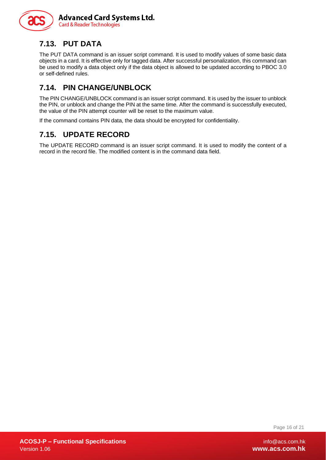

# <span id="page-15-0"></span>**7.13. PUT DATA**

The PUT DATA command is an issuer script command. It is used to modify values of some basic data objects in a card. It is effective only for tagged data. After successful personalization, this command can be used to modify a data object only if the data object is allowed to be updated according to PBOC 3.0 or self-defined rules.

## <span id="page-15-1"></span>**7.14. PIN CHANGE/UNBLOCK**

The PIN CHANGE/UNBLOCK command is an issuer script command. It is used by the issuer to unblock the PIN, or unblock and change the PIN at the same time. After the command is successfully executed, the value of the PIN attempt counter will be reset to the maximum value.

If the command contains PIN data, the data should be encrypted for confidentiality.

### <span id="page-15-2"></span>**7.15. UPDATE RECORD**

The UPDATE RECORD command is an issuer script command. It is used to modify the content of a record in the record file. The modified content is in the command data field.

Page 16 of 21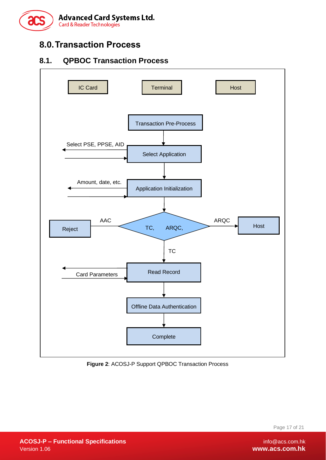

# <span id="page-16-0"></span>**8.0.Transaction Process**

#### <span id="page-16-1"></span>**8.1. QPBOC Transaction Process**



<span id="page-16-2"></span>**Figure 2**: ACOSJ-P Support QPBOC Transaction Process

Page 17 of 21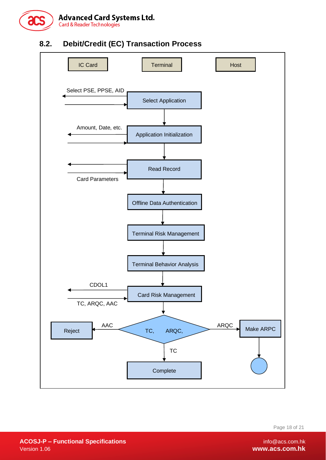

### <span id="page-17-0"></span>**8.2. Debit/Credit (EC) Transaction Process**



Page 18 of 21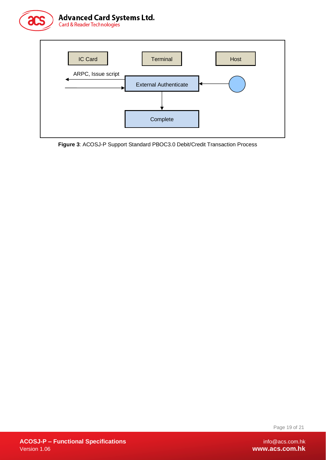Advanced Card Systems Ltd.<br>Card & Reader Technologies





<span id="page-18-0"></span>**Figure 3**: ACOSJ-P Support Standard PBOC3.0 Debit/Credit Transaction Process

Page 19 of 21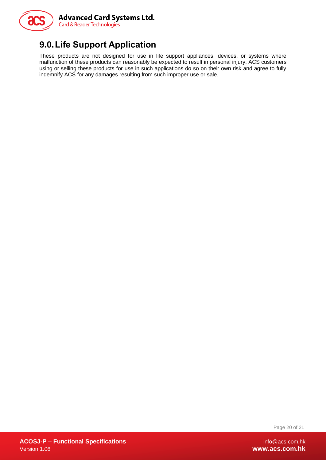

# <span id="page-19-0"></span>**9.0.Life Support Application**

These products are not designed for use in life support appliances, devices, or systems where malfunction of these products can reasonably be expected to result in personal injury. ACS customers using or selling these products for use in such applications do so on their own risk and agree to fully indemnify ACS for any damages resulting from such improper use or sale.

Page 20 of 21